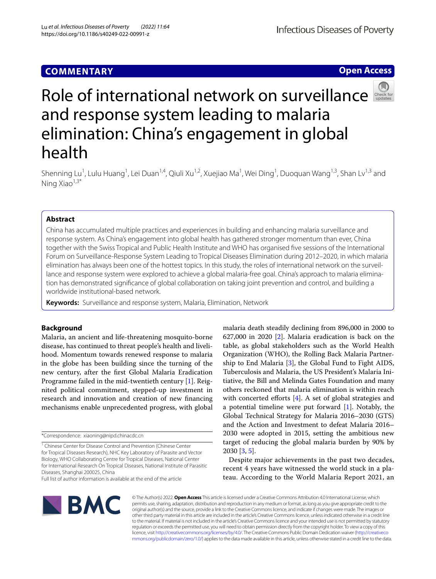## **COMMENTARY**

**Open Access**



# Roleof international network on surveillance and response system leading to malaria elimination: China's engagement in global health

Shenning Lu<sup>1</sup>, Lulu Huang<sup>1</sup>, Lei Duan<sup>1,4</sup>, Qiuli Xu<sup>1,2</sup>, Xuejiao Ma<sup>1</sup>, Wei Ding<sup>1</sup>, Duoquan Wang<sup>1,3</sup>, Shan Lv<sup>1,3</sup> and Ning Xiao $1,3^*$ 

## **Abstract**

China has accumulated multiple practices and experiences in building and enhancing malaria surveillance and response system. As China's engagement into global health has gathered stronger momentum than ever, China together with the Swiss Tropical and Public Health Institute and WHO has organised fve sessions of the International Forum on Surveillance-Response System Leading to Tropical Diseases Elimination during 2012–2020, in which malaria elimination has always been one of the hottest topics. In this study, the roles of international network on the surveillance and response system were explored to achieve a global malaria-free goal. China's approach to malaria elimination has demonstrated signifcance of global collaboration on taking joint prevention and control, and building a worldwide institutional-based network.

**Keywords:** Surveillance and response system, Malaria, Elimination, Network

## **Background**

Malaria, an ancient and life-threatening mosquito-borne disease, has continued to threat people's health and livelihood. Momentum towards renewed response to malaria in the globe has been building since the turning of the new century, after the frst Global Malaria Eradication Programme failed in the mid-twentieth century [\[1](#page-4-0)]. Reignited political commitment, stepped-up investment in research and innovation and creation of new fnancing mechanisms enable unprecedented progress, with global

malaria death steadily declining from 896,000 in 2000 to 627,000 in 2020 [[2\]](#page-4-1). Malaria eradication is back on the table, as global stakeholders such as the World Health Organization (WHO), the Rolling Back Malaria Partnership to End Malaria [[3\]](#page-4-2), the Global Fund to Fight AIDS, Tuberculosis and Malaria, the US President's Malaria Initiative, the Bill and Melinda Gates Foundation and many others reckoned that malaria elimination is within reach with concerted efforts [\[4](#page-4-3)]. A set of global strategies and a potential timeline were put forward [[1\]](#page-4-0). Notably, the Global Technical Strategy for Malaria 2016–2030 (GTS) and the Action and Investment to defeat Malaria 2016– 2030 were adopted in 2015, setting the ambitious new target of reducing the global malaria burden by 90% by 2030 [[3,](#page-4-2) [5](#page-4-4)].

Despite major achievements in the past two decades, recent 4 years have witnessed the world stuck in a plateau. According to the World Malaria Report 2021, an



© The Author(s) 2022. **Open Access** This article is licensed under a Creative Commons Attribution 4.0 International License, which permits use, sharing, adaptation, distribution and reproduction in any medium or format, as long as you give appropriate credit to the original author(s) and the source, provide a link to the Creative Commons licence, and indicate if changes were made. The images or other third party material in this article are included in the article's Creative Commons licence, unless indicated otherwise in a credit line to the material. If material is not included in the article's Creative Commons licence and your intended use is not permitted by statutory regulation or exceeds the permitted use, you will need to obtain permission directly from the copyright holder. To view a copy of this licence, visit [http://creativecommons.org/licenses/by/4.0/.](http://creativecommons.org/licenses/by/4.0/) The Creative Commons Public Domain Dedication waiver ([http://creativeco](http://creativecommons.org/publicdomain/zero/1.0/) [mmons.org/publicdomain/zero/1.0/](http://creativecommons.org/publicdomain/zero/1.0/)) applies to the data made available in this article, unless otherwise stated in a credit line to the data.

<sup>\*</sup>Correspondence: xiaoning@nipd.chinacdc.cn

<sup>&</sup>lt;sup>1</sup> Chinese Center for Disease Control and Prevention (Chinese Center for Tropical Diseases Research), NHC Key Laboratory of Parasite and Vector Biology, WHO Collaborating Centre for Tropical Diseases, National Center for International Research On Tropical Diseases, National Institute of Parasitic Diseases, Shanghai 200025, China

Full list of author information is available at the end of the article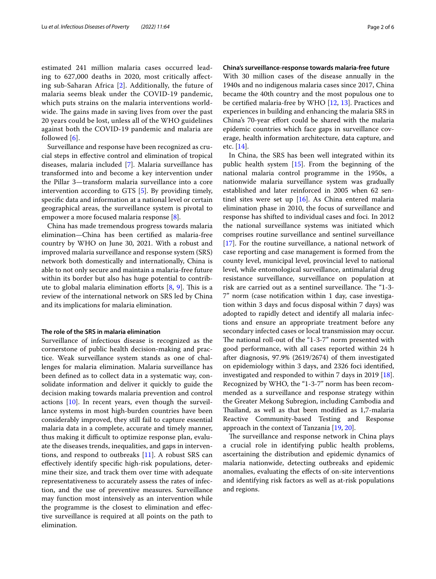estimated 241 million malaria cases occurred leading to 627,000 deaths in 2020, most critically afecting sub-Saharan Africa [[2](#page-4-1)]. Additionally, the future of malaria seems bleak under the COVID-19 pandemic, which puts strains on the malaria interventions worldwide. The gains made in saving lives from over the past 20 years could be lost, unless all of the WHO guidelines against both the COVID-19 pandemic and malaria are followed [[6\]](#page-4-5).

Surveillance and response have been recognized as crucial steps in efective control and elimination of tropical diseases, malaria included [[7\]](#page-4-6). Malaria surveillance has transformed into and become a key intervention under the Pillar 3—transform malaria surveillance into a core intervention according to GTS [\[5](#page-4-4)]. By providing timely, specifc data and information at a national level or certain geographical areas, the surveillance system is pivotal to empower a more focused malaria response [[8\]](#page-4-7).

China has made tremendous progress towards malaria elimination—China has been certifed as malaria-free country by WHO on June 30, 2021. With a robust and improved malaria surveillance and response system (SRS) network both domestically and internationally, China is able to not only secure and maintain a malaria-free future within its border but also has huge potential to contribute to global malaria elimination efforts  $[8, 9]$  $[8, 9]$  $[8, 9]$  $[8, 9]$  $[8, 9]$ . This is a review of the international network on SRS led by China and its implications for malaria elimination.

#### **The role of the SRS in malaria elimination**

Surveillance of infectious disease is recognized as the cornerstone of public health decision-making and practice. Weak surveillance system stands as one of challenges for malaria elimination. Malaria surveillance has been defned as to collect data in a systematic way, consolidate information and deliver it quickly to guide the decision making towards malaria prevention and control actions [[10](#page-4-9)]. In recent years, even though the surveillance systems in most high-burden countries have been considerably improved, they still fail to capture essential malaria data in a complete, accurate and timely manner, thus making it difficult to optimize response plan, evaluate the diseases trends, inequalities, and gaps in interventions, and respond to outbreaks [\[11](#page-4-10)]. A robust SRS can efectively identify specifc high-risk populations, determine their size, and track them over time with adequate representativeness to accurately assess the rates of infection, and the use of preventive measures. Surveillance may function most intensively as an intervention while the programme is the closest to elimination and efective surveillance is required at all points on the path to elimination.

## **China's surveillance‑response towards malaria‑free future**

With 30 million cases of the disease annually in the 1940s and no indigenous malaria cases since 2017, China became the 40th country and the most populous one to be certifed malaria-free by WHO [[12,](#page-4-11) [13](#page-5-0)]. Practices and experiences in building and enhancing the malaria SRS in China's 70-year effort could be shared with the malaria epidemic countries which face gaps in surveillance coverage, health information architecture, data capture, and etc. [[14\]](#page-5-1).

In China, the SRS has been well integrated within its public health system [[15](#page-5-2)]. From the beginning of the national malaria control programme in the 1950s, a nationwide malaria surveillance system was gradually established and later reinforced in 2005 when 62 sentinel sites were set up [\[16\]](#page-5-3). As China entered malaria elimination phase in 2010, the focus of surveillance and response has shifted to individual cases and foci. In 2012 the national surveillance systems was initiated which comprises routine surveillance and sentinel surveillance [[17\]](#page-5-4). For the routine surveillance, a national network of case reporting and case management is formed from the county level, municipal level, provincial level to national level, while entomological surveillance, antimalarial drug resistance surveillance, surveillance on population at risk are carried out as a sentinel surveillance. The "1-3-7" norm (case notifcation within 1 day, case investigation within 3 days and focus disposal within 7 days) was adopted to rapidly detect and identify all malaria infections and ensure an appropriate treatment before any secondary infected cases or local transmission may occur. The national roll-out of the "1-3-7" norm presented with good performance, with all cases reported within 24 h after diagnosis, 97.9% (2619/2674) of them investigated on epidemiology within 3 days, and 2326 foci identifed, investigated and responded to within 7 days in 2019 [\[18](#page-5-5)]. Recognized by WHO, the "1-3-7" norm has been recommended as a surveillance and response strategy within the Greater Mekong Subregion, including Cambodia and Thailand, as well as that been modified as 1,7-malaria Reactive Community-based Testing and Response approach in the context of Tanzania [[19](#page-5-6), [20\]](#page-5-7).

The surveillance and response network in China plays a crucial role in identifying public health problems, ascertaining the distribution and epidemic dynamics of malaria nationwide, detecting outbreaks and epidemic anomalies, evaluating the efects of on-site interventions and identifying risk factors as well as at-risk populations and regions.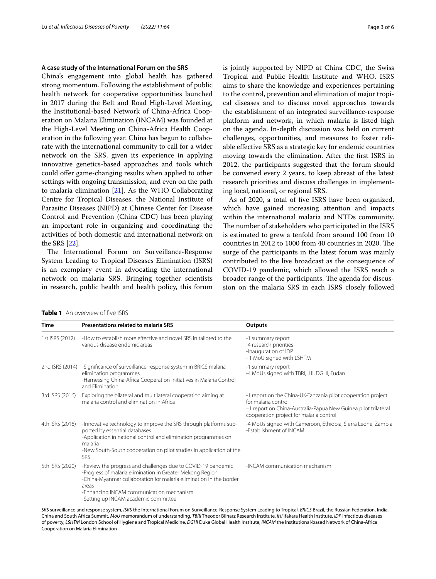## **A case study of the International Forum on the SRS**

China's engagement into global health has gathered strong momentum. Following the establishment of public health network for cooperative opportunities launched in 2017 during the Belt and Road High-Level Meeting, the Institutional-based Network of China-Africa Cooperation on Malaria Elimination (INCAM) was founded at the High-Level Meeting on China-Africa Health Cooperation in the following year. China has begun to collaborate with the international community to call for a wider network on the SRS, given its experience in applying innovative genetics-based approaches and tools which could ofer game-changing results when applied to other settings with ongoing transmission, and even on the path to malaria elimination [\[21\]](#page-5-8). As the WHO Collaborating Centre for Tropical Diseases, the National Institute of Parasitic Diseases (NIPD) at Chinese Center for Disease Control and Prevention (China CDC) has been playing an important role in organizing and coordinating the activities of both domestic and international network on the SRS [[22\]](#page-5-9).

The International Forum on Surveillance-Response System Leading to Tropical Diseases Elimination (ISRS) is an exemplary event in advocating the international network on malaria SRS. Bringing together scientists in research, public health and health policy, this forum is jointly supported by NIPD at China CDC, the Swiss Tropical and Public Health Institute and WHO. ISRS aims to share the knowledge and experiences pertaining to the control, prevention and elimination of major tropical diseases and to discuss novel approaches towards the establishment of an integrated surveillance-response platform and network, in which malaria is listed high on the agenda. In-depth discussion was held on current challenges, opportunities, and measures to foster reliable efective SRS as a strategic key for endemic countries moving towards the elimination. After the frst ISRS in 2012, the participants suggested that the forum should be convened every 2 years, to keep abreast of the latest research priorities and discuss challenges in implementing local, national, or regional SRS.

As of 2020, a total of fve ISRS have been organized, which have gained increasing attention and impacts within the international malaria and NTDs community. The number of stakeholders who participated in the ISRS is estimated to grew a tenfold from around 100 from 10 countries in 2012 to 1000 from 40 countries in 2020. The surge of the participants in the latest forum was mainly contributed to the live broadcast as the consequence of COVID-19 pandemic, which allowed the ISRS reach a broader range of the participants. The agenda for discussion on the malaria SRS in each ISRS closely followed

| Time            | Presentations related to malaria SRS                                                                                                                                                                                                                                                         | Outputs                                                                                                                                                                                          |
|-----------------|----------------------------------------------------------------------------------------------------------------------------------------------------------------------------------------------------------------------------------------------------------------------------------------------|--------------------------------------------------------------------------------------------------------------------------------------------------------------------------------------------------|
| 1st ISRS (2012) | -How to establish more effective and novel SRS in tailored to the<br>various disease endemic areas                                                                                                                                                                                           | -1 summary report<br>-4 research priorities<br>-Inauguration of IDP<br>- 1 MoU signed with LSHTM                                                                                                 |
| 2nd ISRS (2014) | -Significance of surveillance-response system in BRICS malaria<br>elimination programmes<br>-Harnessing China-Africa Cooperation Initiatives in Malaria Control<br>and Elimination                                                                                                           | -1 summary report<br>-4 MoUs signed with TBRI, IHI, DGHI, Fudan                                                                                                                                  |
| 3rd ISRS (2016) | Exploring the bilateral and multilateral cooperation aiming at<br>malaria control and elimination in Africa                                                                                                                                                                                  | -1 report on the China-UK-Tanzania pilot cooperation project<br>for malaria control<br>-1 report on China-Australia-Papua New Guinea pilot trilateral<br>cooperation project for malaria control |
| 4th ISRS (2018) | -Innovative technology to improve the SRS through platforms sup-<br>ported by essential databases<br>-Application in national control and elimination programmes on<br>malaria<br>-New South-South cooperation on pilot studies in application of the<br><b>SRS</b>                          | -4 MoUs signed with Cameroon, Ethiopia, Sierra Leone, Zambia<br>-Establishment of INCAM                                                                                                          |
| 5th ISRS (2020) | -Review the progress and challenges due to COVID-19 pandemic<br>-Progress of malaria elimination in Greater Mekong Region<br>-China-Myanmar collaboration for malaria elimination in the border<br>areas<br>-Enhancing INCAM communication mechanism<br>-Setting up INCAM academic committee | -INCAM communication mechanism                                                                                                                                                                   |

<span id="page-2-0"></span>**Table 1** An overview of five ISRS

*SRS* surveillance and response system, *ISRS* the International Forum on Surveillance-Response System Leading to Tropical, *BRICS* Brazil, the Russian Federation, India, China and South Africa Summit, *MoU* memorandum of understanding, *TBRI* Theodor Bilharz Research Institute, *IHI* Ifakara Health Institute, *IDP* infectious diseases of poverty, *LSHTM* London School of Hygiene and Tropical Medicine, *DGHI* Duke Global Health Institute, *INCAM* the Institutional-based Network of China-Africa Cooperation on Malaria Elimination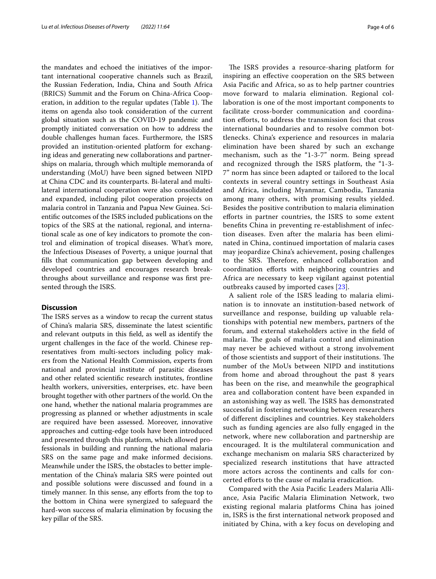the mandates and echoed the initiatives of the important international cooperative channels such as Brazil, the Russian Federation, India, China and South Africa (BRICS) Summit and the Forum on China-Africa Coop-eration, in addition to the regular updates (Table [1\)](#page-2-0). The items on agenda also took consideration of the current global situation such as the COVID-19 pandemic and promptly initiated conversation on how to address the double challenges human faces. Furthermore, the ISRS provided an institution-oriented platform for exchanging ideas and generating new collaborations and partnerships on malaria, through which multiple memoranda of understanding (MoU) have been signed between NIPD at China CDC and its counterparts. Bi-lateral and multilateral international cooperation were also consolidated and expanded, including pilot cooperation projects on malaria control in Tanzania and Papua New Guinea. Scientifc outcomes of the ISRS included publications on the topics of the SRS at the national, regional, and international scale as one of key indicators to promote the control and elimination of tropical diseases. What's more, the Infectious Diseases of Poverty, a unique journal that flls that communication gap between developing and developed countries and encourages research breakthroughs about surveillance and response was frst presented through the ISRS.

### **Discussion**

The ISRS serves as a window to recap the current status of China's malaria SRS, disseminate the latest scientifc and relevant outputs in this feld, as well as identify the urgent challenges in the face of the world. Chinese representatives from multi-sectors including policy makers from the National Health Commission, experts from national and provincial institute of parasitic diseases and other related scientifc research institutes, frontline health workers, universities, enterprises, etc. have been brought together with other partners of the world. On the one hand, whether the national malaria programmes are progressing as planned or whether adjustments in scale are required have been assessed. Moreover, innovative approaches and cutting-edge tools have been introduced and presented through this platform, which allowed professionals in building and running the national malaria SRS on the same page and make informed decisions. Meanwhile under the ISRS, the obstacles to better implementation of the China's malaria SRS were pointed out and possible solutions were discussed and found in a timely manner. In this sense, any efforts from the top to the bottom in China were synergized to safeguard the hard-won success of malaria elimination by focusing the key pillar of the SRS.

The ISRS provides a resource-sharing platform for inspiring an efective cooperation on the SRS between Asia Pacifc and Africa, so as to help partner countries move forward to malaria elimination. Regional collaboration is one of the most important components to facilitate cross-border communication and coordination eforts, to address the transmission foci that cross international boundaries and to resolve common bottlenecks. China's experience and resources in malaria elimination have been shared by such an exchange mechanism, such as the "1-3-7" norm. Being spread and recognized through the ISRS platform, the "1-3- 7" norm has since been adapted or tailored to the local contexts in several country settings in Southeast Asia and Africa, including Myanmar, Cambodia, Tanzania among many others, with promising results yielded. Besides the positive contribution to malaria elimination eforts in partner countries, the ISRS to some extent benefts China in preventing re-establishment of infection diseases. Even after the malaria has been eliminated in China, continued importation of malaria cases may jeopardize China's achievement, posing challenges to the SRS. Therefore, enhanced collaboration and coordination eforts with neighboring countries and Africa are necessary to keep vigilant against potential outbreaks caused by imported cases [[23\]](#page-5-10).

A salient role of the ISRS leading to malaria elimination is to innovate an institution-based network of surveillance and response, building up valuable relationships with potential new members, partners of the forum, and external stakeholders active in the feld of malaria. The goals of malaria control and elimination may never be achieved without a strong involvement of those scientists and support of their institutions. The number of the MoUs between NIPD and institutions from home and abroad throughout the past 8 years has been on the rise, and meanwhile the geographical area and collaboration content have been expanded in an astonishing way as well. The ISRS has demonstrated successful in fostering networking between researchers of diferent disciplines and countries. Key stakeholders such as funding agencies are also fully engaged in the network, where new collaboration and partnership are encouraged. It is the multilateral communication and exchange mechanism on malaria SRS characterized by specialized research institutions that have attracted more actors across the continents and calls for concerted eforts to the cause of malaria eradication.

Compared with the Asia Pacifc Leaders Malaria Alliance, Asia Pacifc Malaria Elimination Network, two existing regional malaria platforms China has joined in, ISRS is the frst international network proposed and initiated by China, with a key focus on developing and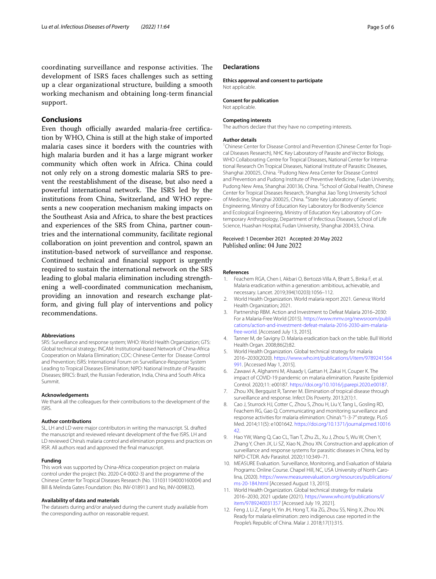coordinating surveillance and response activities. The development of ISRS faces challenges such as setting up a clear organizational structure, building a smooth working mechanism and obtaining long-term fnancial support.

## **Conclusions**

Even though officially awarded malaria-free certification by WHO, China is still at the high stake of imported malaria cases since it borders with the countries with high malaria burden and it has a large migrant worker community which often work in Africa. China could not only rely on a strong domestic malaria SRS to prevent the reestablishment of the disease, but also need a powerful international network. The ISRS led by the institutions from China, Switzerland, and WHO represents a new cooperation mechanism making impacts on the Southeast Asia and Africa, to share the best practices and experiences of the SRS from China, partner countries and the international community, facilitate regional collaboration on joint prevention and control, spawn an institution-based network of surveillance and response. Continued technical and fnancial support is urgently required to sustain the international network on the SRS leading to global malaria elimination including strengthening a well-coordinated communication mechanism, providing an innovation and research exchange platform, and giving full play of interventions and policy recommendations.

#### **Abbreviations**

SRS: Surveillance and response system; WHO: World Health Organization; GTS: Global technical strategy; INCAM: Institutional-based Network of China-Africa Cooperation on Malaria Elimination; CDC: Chinese Center for Disease Control and Prevention; ISRS: International Forum on Surveillance-Response System Leading to Tropical Diseases Elimination; NIPD: National Institute of Parasitic Diseases; BRICS: Brazil, the Russian Federation, India, China and South Africa Summit.

#### **Acknowledgements**

We thank all the colleagues for their contributions to the development of the ISRS.

#### **Author contributions**

SL, LH and LD were major contributors in writing the manuscript. SL drafted the manuscript and reviewed relevant development of the fve ISRS. LH and LD reviewed China's malaria control and elimination progress and practices on RSR. All authors read and approved the fnal manuscript.

#### **Funding**

This work was supported by China-Africa cooperation project on malaria control under the project (No. 2020-C4-0002-3) and the programme of the Chinese Center for Tropical Diseases Research (No. 131031104000160004) and Bill & Melinda Gates Foundation: (No. INV-018913 and No, INV-009832).

#### **Availability of data and materials**

The datasets during and/or analysed during the current study available from the corresponding author on reasonable request.

#### **Declarations**

**Ethics approval and consent to participate** Not applicable.

**Consent for publication** Not applicable.

#### **Competing interests**

The authors declare that they have no competing interests.

#### **Author details**

<sup>1</sup> Chinese Center for Disease Control and Prevention (Chinese Center for Tropical Diseases Research), NHC Key Laboratory of Parasite and Vector Biology, WHO Collaborating Centre for Tropical Diseases, National Center for International Research On Tropical Diseases, National Institute of Parasitic Diseases, Shanghai 200025, China. <sup>2</sup> Pudong New Area Center for Disease Control and Prevention and Pudong Institute of Preventive Medicine, Fudan University, Pudong New Area, Shanghai 200136, China. <sup>3</sup> School of Global Health, Chinese Center for Tropical Diseases Research, Shanghai Jiao Tong University School of Medicine, Shanghai 200025, China. <sup>4</sup> State Key Laboratory of Genetic Engineering, Ministry of Education Key Laboratory for Biodiversity Science and Ecological Engineering, Ministry of Education Key Laboratory of Contemporary Anthropology, Department of Infectious Diseases, School of Life Science, Huashan Hospital, Fudan University, Shanghai 200433, China.

Received: 1 December 2021 Accepted: 20 May 2022 Published online: 04 June 2022

#### **References**

- <span id="page-4-0"></span>1. Feachem RGA, Chen I, Akbari O, Bertozzi-Villa A, Bhatt S, Binka F, et al. Malaria eradication within a generation: ambitious, achievable, and necessary. Lancet. 2019;394(10203):1056–112.
- <span id="page-4-1"></span>2. World Health Organization. World malaria report 2021. Geneva: World Health Organization; 2021.
- <span id="page-4-2"></span>3. Partnership RBM. Action and Investment to Defeat Malaria 2016–2030: For a Malaria-Free World (2015). [https://www.mmv.org/newsroom/publi](https://www.mmv.org/newsroom/publications/action-and-investment-defeat-malaria-2016-2030-aim-malaria-free-world) [cations/action-and-investment-defeat-malaria-2016-2030-aim-malaria](https://www.mmv.org/newsroom/publications/action-and-investment-defeat-malaria-2016-2030-aim-malaria-free-world)[free-world.](https://www.mmv.org/newsroom/publications/action-and-investment-defeat-malaria-2016-2030-aim-malaria-free-world) [Accessed July 13, 2015].
- <span id="page-4-3"></span>4. Tanner M, de Savigny D. Malaria eradication back on the table. Bull World Health Organ. 2008;86(2):82.
- <span id="page-4-4"></span>5. World Health Organization. Global technical strategy for malaria 2016–2030(2020). [https://www.who.int/publications/i/item/9789241564](https://www.who.int/publications/i/item/9789241564991) [991.](https://www.who.int/publications/i/item/9789241564991) [Accessed May 1, 2015].
- <span id="page-4-5"></span>6. Zawawi A, Alghanmi M, Alsaady I, Gattan H, Zakai H, Couper K. The impact of COVID-19 pandemic on malaria elimination. Parasite Epidemiol Control. 2020;11: e00187. [https://doi.org/10.1016/j.parepi.2020.e00187.](https://doi.org/10.1016/j.parepi.2020.e00187)
- <span id="page-4-6"></span>7. Zhou XN, Bergquist R, Tanner M. Elimination of tropical disease through surveillance and response. Infect Dis Poverty. 2013;2(1):1.
- <span id="page-4-7"></span>8. Cao J, Sturrock HJ, Cotter C, Zhou S, Zhou H, Liu Y, Tang L, Gosling RD, Feachem RG, Gao Q. Communicating and monitoring surveillance and response activities for malaria elimination: China's "1-3-7" strategy. PLoS Med. 2014;11(5): e1001642. [https://doi.org/10.1371/journal.pmed.10016](https://doi.org/10.1371/journal.pmed.1001642) [42](https://doi.org/10.1371/journal.pmed.1001642).
- <span id="page-4-8"></span>9. Hao YW, Wang Q, Cao CL, Tian T, Zhu ZL, Xu J, Zhou S, Wu W, Chen Y, Zhang Y, Chen JX, Li SZ, Xiao N, Zhou XN. Construction and application of surveillance and response systems for parasitic diseases in China, led by NIPD-CTDR. Adv Parasitol. 2020;110:349–71.
- <span id="page-4-9"></span>10. MEASURE Evaluation. Surveillance, Monitoring, and Evaluation of Malaria Programs: Online Course. Chapel Hill, NC, USA University of North Carolina, (2020). [https://www.measureevaluation.org/resources/publications/](https://www.measureevaluation.org/resources/publications/ms-20-184.html) [ms-20-184.html](https://www.measureevaluation.org/resources/publications/ms-20-184.html) [Accessed August 13, 2015].
- <span id="page-4-10"></span>11. World Health Organization. Global technical strategy for malaria 2016–2030, 2021 update (2021). [https://www.who.int/publications/i/](https://www.who.int/publications/i/item/9789240031357) [item/9789240031357](https://www.who.int/publications/i/item/9789240031357) [Accessed July 19, 2021].
- <span id="page-4-11"></span>12. Feng J, Li Z, Fang H, Yin JH, Hong T, Xia ZG, Zhou SS, Ning X, Zhou XN. Ready for malaria elimination: zero indigenous case reported in the People's Republic of China. Malar J. 2018;17(1):315.